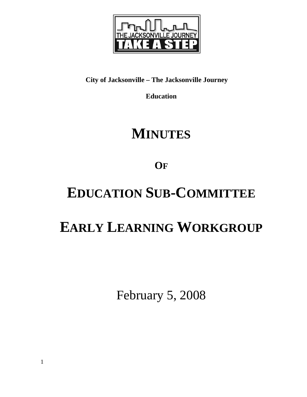

# **City of Jacksonville – The Jacksonville Journey**

**Education** 

# **MINUTES**

**OF**

# **EDUCATION SUB-COMMITTEE**

# **EARLY LEARNING WORKGROUP**

February 5, 2008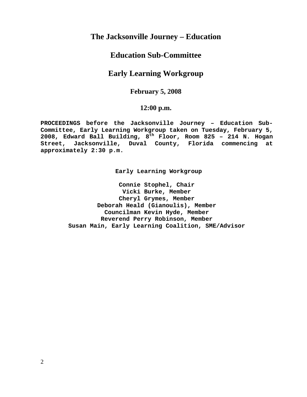## **The Jacksonville Journey – Education**

## **Education Sub-Committee**

## **Early Learning Workgroup**

## **February 5, 2008**

### **12:00 p.m.**

**PROCEEDINGS before the Jacksonville Journey – Education Sub-Committee, Early Learning Workgroup taken on Tuesday, February 5, 2008, Edward Ball Building, 8th Floor, Room 825 – 214 N. Hogan Street, Jacksonville, Duval County, Florida commencing at approximately 2:30 p.m.** 

**Early Learning Workgroup** 

**Connie Stophel, Chair Vicki Burke, Member Cheryl Grymes, Member Deborah Heald (Gianoulis), Member Councilman Kevin Hyde, Member Reverend Perry Robinson, Member Susan Main, Early Learning Coalition, SME/Advisor**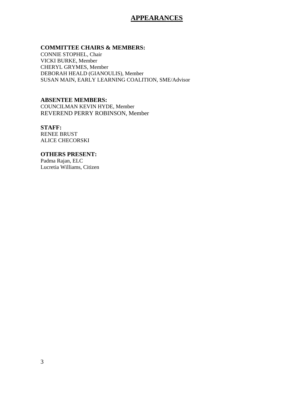## **APPEARANCES**

### **COMMITTEE CHAIRS & MEMBERS:**

CONNIE STOPHEL, Chair VICKI BURKE, Member CHERYL GRYMES, Member DEBORAH HEALD (GIANOULIS), Member SUSAN MAIN, EARLY LEARNING COALITION, SME/Advisor

### **ABSENTEE MEMBERS:**

COUNCILMAN KEVIN HYDE, Member REVEREND PERRY ROBINSON, Member

### **STAFF:**

RENEE BRUST ALICE CHECORSKI

### **OTHERS PRESENT:**  Padma Rajan, ELC

Lucretia Williams, Citizen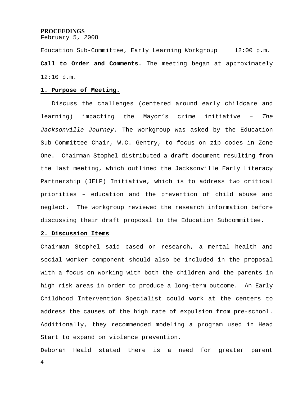#### **PROCEEDINGS**

February 5, 2008

Education Sub-Committee, Early Learning Workgroup 12:00 p.m. **Call to Order and Comments.** The meeting began at approximately 12:10 p.m.

### **1. Purpose of Meeting.**

 Discuss the challenges (centered around early childcare and learning) impacting the Mayor's crime initiative – *The Jacksonville Journey*. The workgroup was asked by the Education Sub-Committee Chair, W.C. Gentry, to focus on zip codes in Zone One. Chairman Stophel distributed a draft document resulting from the last meeting, which outlined the Jacksonville Early Literacy Partnership (JELP) Initiative, which is to address two critical priorities – education and the prevention of child abuse and neglect. The workgroup reviewed the research information before discussing their draft proposal to the Education Subcommittee.

#### **2. Discussion Items**

Chairman Stophel said based on research, a mental health and social worker component should also be included in the proposal with a focus on working with both the children and the parents in high risk areas in order to produce a long-term outcome. An Early Childhood Intervention Specialist could work at the centers to address the causes of the high rate of expulsion from pre-school. Additionally, they recommended modeling a program used in Head Start to expand on violence prevention.

Deborah Heald stated there is a need for greater parent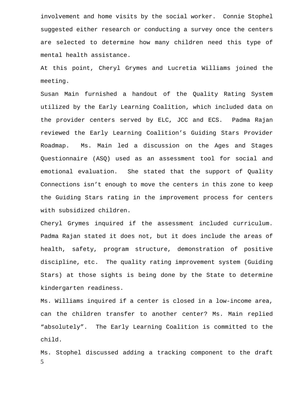involvement and home visits by the social worker. Connie Stophel suggested either research or conducting a survey once the centers are selected to determine how many children need this type of mental health assistance.

At this point, Cheryl Grymes and Lucretia Williams joined the meeting.

Susan Main furnished a handout of the Quality Rating System utilized by the Early Learning Coalition, which included data on the provider centers served by ELC, JCC and ECS. Padma Rajan reviewed the Early Learning Coalition's Guiding Stars Provider Roadmap. Ms. Main led a discussion on the Ages and Stages Questionnaire (ASQ) used as an assessment tool for social and emotional evaluation. She stated that the support of Quality Connections isn't enough to move the centers in this zone to keep the Guiding Stars rating in the improvement process for centers with subsidized children.

Cheryl Grymes inquired if the assessment included curriculum. Padma Rajan stated it does not, but it does include the areas of health, safety, program structure, demonstration of positive discipline, etc. The quality rating improvement system (Guiding Stars) at those sights is being done by the State to determine kindergarten readiness.

Ms. Williams inquired if a center is closed in a low-income area, can the children transfer to another center? Ms. Main replied "absolutely". The Early Learning Coalition is committed to the child.

5 Ms. Stophel discussed adding a tracking component to the draft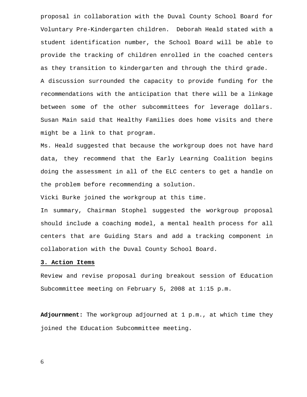proposal in collaboration with the Duval County School Board for Voluntary Pre-Kindergarten children. Deborah Heald stated with a student identification number, the School Board will be able to provide the tracking of children enrolled in the coached centers as they transition to kindergarten and through the third grade.

A discussion surrounded the capacity to provide funding for the recommendations with the anticipation that there will be a linkage between some of the other subcommittees for leverage dollars. Susan Main said that Healthy Families does home visits and there might be a link to that program.

Ms. Heald suggested that because the workgroup does not have hard data, they recommend that the Early Learning Coalition begins doing the assessment in all of the ELC centers to get a handle on the problem before recommending a solution.

Vicki Burke joined the workgroup at this time.

In summary, Chairman Stophel suggested the workgroup proposal should include a coaching model, a mental health process for all centers that are Guiding Stars and add a tracking component in collaboration with the Duval County School Board.

### **3. Action Items**

Review and revise proposal during breakout session of Education Subcommittee meeting on February 5, 2008 at 1:15 p.m.

**Adjournment:** The workgroup adjourned at 1 p.m., at which time they joined the Education Subcommittee meeting.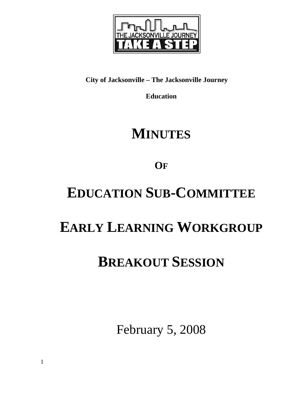

# **City of Jacksonville – The Jacksonville Journey**

**Education** 

# **MINUTES**

**OF**

# **EDUCATION SUB-COMMITTEE**

# **EARLY LEARNING WORKGROUP**

# **BREAKOUT SESSION**

February 5, 2008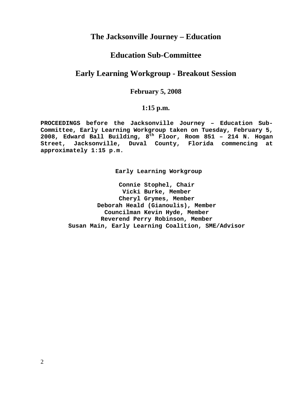## **The Jacksonville Journey – Education**

## **Education Sub-Committee**

## **Early Learning Workgroup - Breakout Session**

## **February 5, 2008**

## **1:15 p.m.**

**PROCEEDINGS before the Jacksonville Journey – Education Sub-Committee, Early Learning Workgroup taken on Tuesday, February 5, 2008, Edward Ball Building, 8th Floor, Room 851 – 214 N. Hogan Street, Jacksonville, Duval County, Florida commencing at approximately 1:15 p.m.** 

**Early Learning Workgroup** 

**Connie Stophel, Chair Vicki Burke, Member Cheryl Grymes, Member Deborah Heald (Gianoulis), Member Councilman Kevin Hyde, Member Reverend Perry Robinson, Member Susan Main, Early Learning Coalition, SME/Advisor**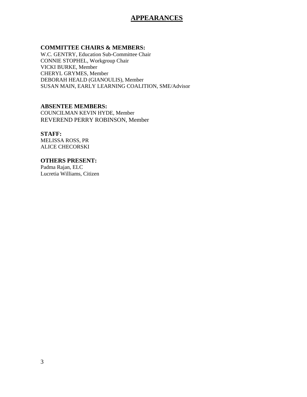## **APPEARANCES**

### **COMMITTEE CHAIRS & MEMBERS:**

W.C. GENTRY, Education Sub-Committee Chair CONNIE STOPHEL, Workgroup Chair VICKI BURKE, Member CHERYL GRYMES, Member DEBORAH HEALD (GIANOULIS), Member SUSAN MAIN, EARLY LEARNING COALITION, SME/Advisor

### **ABSENTEE MEMBERS:**

COUNCILMAN KEVIN HYDE, Member REVEREND PERRY ROBINSON, Member

### **STAFF:**

MELISSA ROSS, PR ALICE CHECORSKI

### **OTHERS PRESENT:**

Padma Rajan, ELC Lucretia Williams, Citizen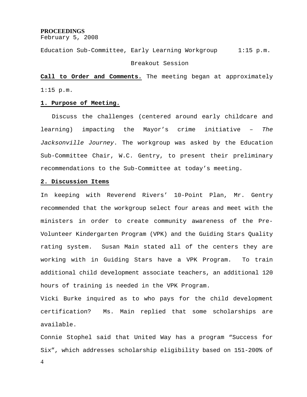#### **PROCEEDINGS**

February 5, 2008

Education Sub-Committee, Early Learning Workgroup 1:15 p.m.

#### Breakout Session

**Call to Order and Comments.** The meeting began at approximately 1:15 p.m.

#### **1. Purpose of Meeting.**

 Discuss the challenges (centered around early childcare and learning) impacting the Mayor's crime initiative – *The Jacksonville Journey*. The workgroup was asked by the Education Sub-Committee Chair, W.C. Gentry, to present their preliminary recommendations to the Sub-Committee at today's meeting.

#### **2. Discussion Items**

In keeping with Reverend Rivers' 10-Point Plan, Mr. Gentry recommended that the workgroup select four areas and meet with the ministers in order to create community awareness of the Pre-Volunteer Kindergarten Program (VPK) and the Guiding Stars Quality rating system. Susan Main stated all of the centers they are working with in Guiding Stars have a VPK Program. To train additional child development associate teachers, an additional 120 hours of training is needed in the VPK Program.

Vicki Burke inquired as to who pays for the child development certification? Ms. Main replied that some scholarships are available.

Connie Stophel said that United Way has a program "Success for Six", which addresses scholarship eligibility based on 151-200% of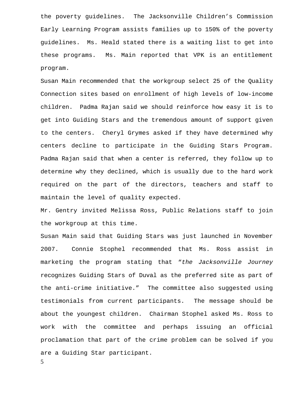the poverty guidelines. The Jacksonville Children's Commission Early Learning Program assists families up to 150% of the poverty guidelines. Ms. Heald stated there is a waiting list to get into these programs. Ms. Main reported that VPK is an entitlement program.

Susan Main recommended that the workgroup select 25 of the Quality Connection sites based on enrollment of high levels of low-income children. Padma Rajan said we should reinforce how easy it is to get into Guiding Stars and the tremendous amount of support given to the centers. Cheryl Grymes asked if they have determined why centers decline to participate in the Guiding Stars Program. Padma Rajan said that when a center is referred, they follow up to determine why they declined, which is usually due to the hard work required on the part of the directors, teachers and staff to maintain the level of quality expected.

Mr. Gentry invited Melissa Ross, Public Relations staff to join the workgroup at this time.

Susan Main said that Guiding Stars was just launched in November 2007. Connie Stophel recommended that Ms. Ross assist in marketing the program stating that "*the Jacksonville Journey*  recognizes Guiding Stars of Duval as the preferred site as part of the anti-crime initiative." The committee also suggested using testimonials from current participants. The message should be about the youngest children. Chairman Stophel asked Ms. Ross to work with the committee and perhaps issuing an official proclamation that part of the crime problem can be solved if you are a Guiding Star participant.